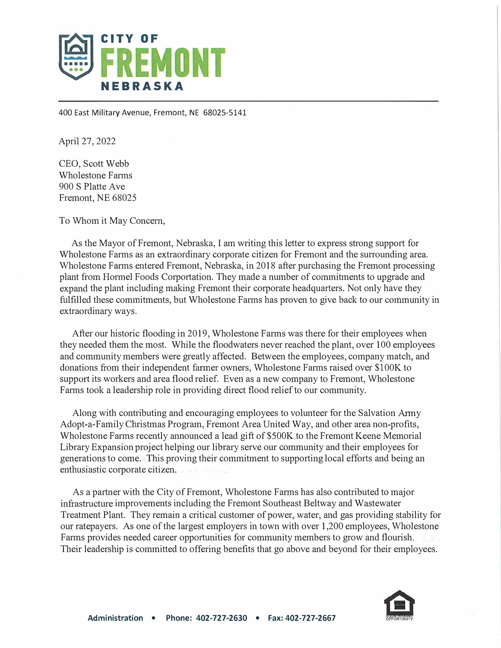

400 East Military Avenue, Fremont, NE 68025-5141

April 27, 2022

CEO, Scott Webb Wholestone Fanns 900 S Platte Ave Fremont, NE 68025

To Whom it May Concern,

As the Mayor of Fremont, Nebraska, I am writing this letter to express strong support for Wholestone Fanns as an extraordinary corporate citizen for Fremont and the surrounding area. Wholestone Farms entered Fremont, Nebraska, in 2018 after purchasing the Fremont processing plant from Hormel Foods Corportation. They made a number of commitments to upgrade and expand the plant including making Fremont their corporate headquarters. Not only have they fulfilled these commitments, but Wholestone Farms has proven to give back to our community in extraordinary ways.

After our historic flooding in 2019, Wholestone Farms was there for their employees when they needed them the most. While the floodwaters never reached the plant, over 100 employees and community members were greatly affected. Between the employees, company match, and donations from their independent farmer owners, Wholestone Farms raised over \$100K to support its workers and area flood relief. Even as a new company to Fremont, Wholestone Farms took a leadership role in providing direct flood relief to our community.

Along with contributing and encouraging employees to volunteer for the Salvation Anny Adopt-a-Family Christmas Program, Fremont Area United Way, and other area non-profits, Wholestone Fanns recently announced a lead gift of \$SOOK to the Fremont Keene Memorial Library Expansion project helping our library serve our community and their employees for generations to come. This proving their commitment to supporting local efforts and being an enthusiastic corporate citizen.

As a partner with the City of Fremont, Wholestone Fanns has also contributed to major infrastructure improvements including the Fremont Southeast Beltway and Wastewater Treatment Plant. They remain a critical customer of power, water, and gas providing stability for our ratepayers. As one of the largest employers in town with over 1,200 employees, Wholestone Farms provides needed career opportunities for community members to grow and flourish. Their leadership is committed to offering benefits that go above and beyond for their employees.